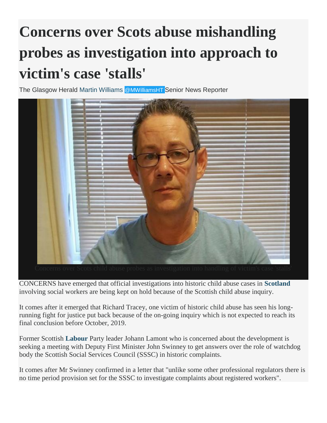## **Concerns over Scots abuse mishandling probes as investigation into approach to victim's case 'stalls'**

The Glasgow Herald [Martin Williams](http://www.heraldscotland.com/author/profile/73200.Martin_Williams/) [@MWilliamsHT](http://www.twitter.com/@MWilliamsHT) Senior News Reporter



CONCERNS have emerged that official investigations into historic child abuse cases in **[Scotland](http://www.heraldscotland.com/search/?search=Scotland&topic_id=8820)** involving social workers are being kept on hold because of the Scottish child abuse inquiry.

It comes after it emerged that Richard Tracey, one victim of historic child abuse has seen his longrunning fight for justice put back because of the on-going inquiry which is not expected to reach its final conclusion before October, 2019.

Former Scottish **[Labour](http://www.heraldscotland.com/search/?search=Labour&topic_id=8754)** Party leader Johann Lamont who is concerned about the development is seeking a meeting with Deputy First Minister John Swinney to get answers over the role of watchdog body the Scottish Social Services Council (SSSC) in historic complaints.

It comes after Mr Swinney confirmed in a letter that "unlike some other professional regulators there is no time period provision set for the SSSC to investigate complaints about registered workers".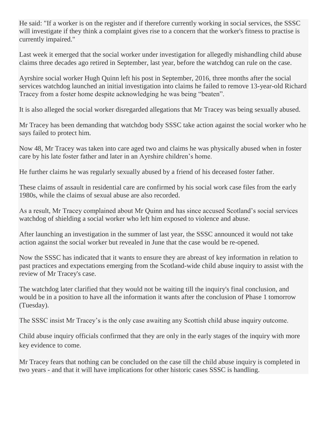He said: "If a worker is on the register and if therefore currently working in social services, the SSSC will investigate if they think a complaint gives rise to a concern that the worker's fitness to practise is currently impaired."

Last week it emerged that the social worker under investigation for allegedly mishandling child abuse claims three decades ago retired in September, last year, before the watchdog can rule on the case.

Ayrshire social worker Hugh Quinn left his post in September, 2016, three months after the social services watchdog launched an initial investigation into claims he failed to remove 13-year-old Richard Tracey from a foster home despite acknowledging he was being "beaten".

It is also alleged the social worker disregarded allegations that Mr Tracey was being sexually abused.

Mr Tracey has been demanding that watchdog body SSSC take action against the social worker who he says failed to protect him.

Now 48, Mr Tracey was taken into care aged two and claims he was physically abused when in foster care by his late foster father and later in an Ayrshire children's home.

He further claims he was regularly sexually abused by a friend of his deceased foster father.

These claims of assault in residential care are confirmed by his social work case files from the early 1980s, while the claims of sexual abuse are also recorded.

As a result, Mr Tracey complained about Mr Quinn and has since accused Scotland's social services watchdog of shielding a social worker who left him exposed to violence and abuse.

After launching an investigation in the summer of last year, the SSSC announced it would not take action against the social worker but revealed in June that the case would be re-opened.

Now the SSSC has indicated that it wants to ensure they are abreast of key information in relation to past practices and expectations emerging from the Scotland-wide child abuse inquiry to assist with the review of Mr Tracey's case.

The watchdog later clarified that they would not be waiting till the inquiry's final conclusion, and would be in a position to have all the information it wants after the conclusion of Phase 1 tomorrow (Tuesday).

The SSSC insist Mr Tracey's is the only case awaiting any Scottish child abuse inquiry outcome.

Child abuse inquiry officials confirmed that they are only in the early stages of the inquiry with more key evidence to come.

Mr Tracey fears that nothing can be concluded on the case till the child abuse inquiry is completed in two years - and that it will have implications for other historic cases SSSC is handling.